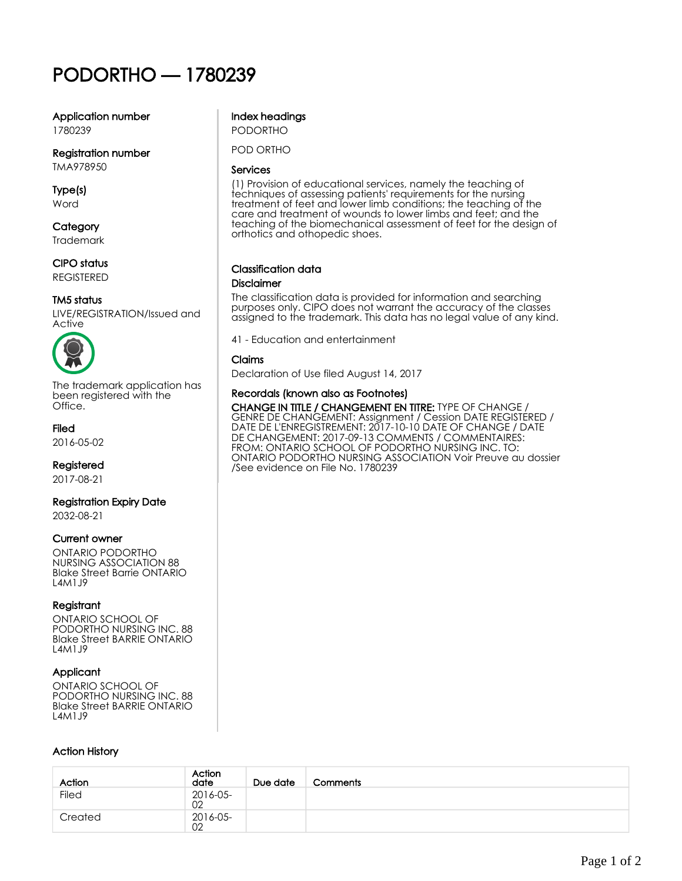# PODORTHO — 1780239

Application number 1780239

Registration number

TMA978950

Type(s) Word

**Category Trademark** 

CIPO status REGISTERED

# TM5 status

LIVE/REGISTRATION/Issued and Active



The trademark application has been registered with the Office.

#### Filed

2016-05-02

# Registered

2017-08-21

# Registration Expiry Date

2032-08-21

# Current owner

ONTARIO PODORTHO NURSING ASSOCIATION 88 Blake Street Barrie ONTARIO L4M1J9

# **Registrant**

ONTARIO SCHOOL OF PODORTHO NURSING INC. 88 Blake Street BARRIE ONTARIO L4M1J9

#### **Applicant**

ONTARIO SCHOOL OF PODORTHO NURSING INC. 88 Blake Street BARRIE ONTARIO L4M1J9

# Action History

# Index headings

PODORTHO

POD ORTHO

#### Services

(1) Provision of educational services, namely the teaching of techniques of assessing patients' requirements for the nursing treatment of feet and lower limb conditions; the teaching of the care and treatment of wounds to lower limbs and feet; and the teaching of the biomechanical assessment of feet for the design of orthotics and othopedic shoes.

#### Classification data

#### Disclaimer

The classification data is provided for information and searching purposes only. CIPO does not warrant the accuracy of the classes assigned to the trademark. This data has no legal value of any kind.

41 - Education and entertainment

#### Claims

Declaration of Use filed August 14, 2017

#### Recordals (known also as Footnotes)

CHANGE IN TITLE / CHANGEMENT EN TITRE: TYPE OF CHANGE / GENRE DE CHANGEMENT: Assignment / Cession DATE REGISTERED / DATE DE L'ENREGISTREMENT: 2017-10-10 DATE OF CHANGE / DATE DE CHANGEMENT: 2017-09-13 COMMENTS / COMMENTAIRES: FROM: ONTARIO SCHOOL OF PODORTHO NURSING INC. TO: ONTARIO PODORTHO NURSING ASSOCIATION Voir Preuve au dossier /See evidence on File No. 1780239

| Action       | Action<br>date | Due date | Comments |
|--------------|----------------|----------|----------|
| <b>Filed</b> | 2016-05-<br>02 |          |          |
| Created      | 2016-05-<br>02 |          |          |